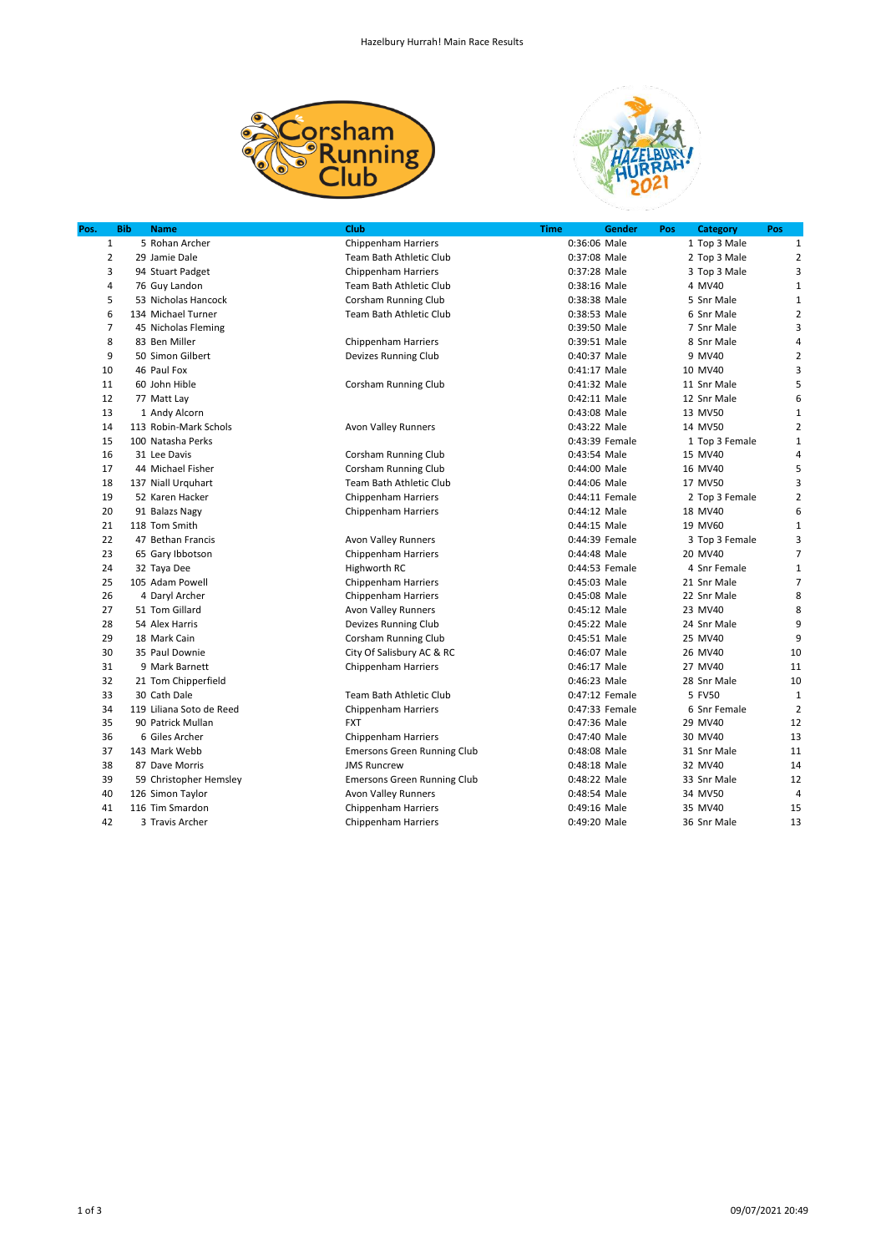



| Pos.           | <b>Bib</b> | <b>Name</b>              | Club                               | <b>Time</b> | Gender         | <b>Category</b><br>Pos | Pos            |
|----------------|------------|--------------------------|------------------------------------|-------------|----------------|------------------------|----------------|
| $\mathbf{1}$   |            | 5 Rohan Archer           | <b>Chippenham Harriers</b>         |             | 0:36:06 Male   | 1 Top 3 Male           | $\mathbf{1}$   |
| $\overline{2}$ |            | 29 Jamie Dale            | Team Bath Athletic Club            |             | 0:37:08 Male   | 2 Top 3 Male           | $\overline{2}$ |
| 3              |            | 94 Stuart Padget         | <b>Chippenham Harriers</b>         |             | 0:37:28 Male   | 3 Top 3 Male           | 3              |
| 4              |            | 76 Guy Landon            | Team Bath Athletic Club            |             | 0:38:16 Male   | 4 MV40                 | $\mathbf{1}$   |
| 5              |            | 53 Nicholas Hancock      | Corsham Running Club               |             | 0:38:38 Male   | 5 Snr Male             | 1              |
| 6              |            | 134 Michael Turner       | Team Bath Athletic Club            |             | 0:38:53 Male   | 6 Snr Male             | $\overline{2}$ |
| 7              |            | 45 Nicholas Fleming      |                                    |             | 0:39:50 Male   | 7 Snr Male             | 3              |
| 8              |            | 83 Ben Miller            | Chippenham Harriers                |             | 0:39:51 Male   | 8 Snr Male             | 4              |
| 9              |            | 50 Simon Gilbert         | Devizes Running Club               |             | 0:40:37 Male   | 9 MV40                 | $\overline{2}$ |
| 10             |            | 46 Paul Fox              |                                    |             | 0:41:17 Male   | 10 MV40                | 3              |
| 11             |            | 60 John Hible            | <b>Corsham Running Club</b>        |             | 0:41:32 Male   | 11 Snr Male            | 5              |
| 12             |            | 77 Matt Lay              |                                    |             | 0:42:11 Male   | 12 Snr Male            | 6              |
| 13             |            | 1 Andy Alcorn            |                                    |             | 0:43:08 Male   | 13 MV50                | 1              |
| 14             |            | 113 Robin-Mark Schols    | <b>Avon Valley Runners</b>         |             | 0:43:22 Male   | 14 MV50                | $\overline{2}$ |
| 15             |            | 100 Natasha Perks        |                                    |             | 0:43:39 Female | 1 Top 3 Female         | $\mathbf{1}$   |
| 16             |            | 31 Lee Davis             | Corsham Running Club               |             | 0:43:54 Male   | 15 MV40                | 4              |
| 17             |            | 44 Michael Fisher        | Corsham Running Club               |             | 0:44:00 Male   | 16 MV40                | 5              |
| 18             |            | 137 Niall Urquhart       | Team Bath Athletic Club            |             | 0:44:06 Male   | 17 MV50                | 3              |
| 19             |            | 52 Karen Hacker          | <b>Chippenham Harriers</b>         |             | 0:44:11 Female | 2 Top 3 Female         | $\overline{2}$ |
| 20             |            | 91 Balazs Nagy           | Chippenham Harriers                |             | 0:44:12 Male   | 18 MV40                | 6              |
| 21             |            | 118 Tom Smith            |                                    |             | 0:44:15 Male   | 19 MV60                | 1              |
| 22             |            | 47 Bethan Francis        | <b>Avon Valley Runners</b>         |             | 0:44:39 Female | 3 Top 3 Female         | 3              |
| 23             |            | 65 Gary Ibbotson         | <b>Chippenham Harriers</b>         |             | 0:44:48 Male   | 20 MV40                | $\overline{7}$ |
| 24             |            | 32 Taya Dee              | Highworth RC                       |             | 0:44:53 Female | 4 Snr Female           | 1              |
| 25             |            | 105 Adam Powell          | <b>Chippenham Harriers</b>         |             | 0:45:03 Male   | 21 Snr Male            | $\overline{7}$ |
| 26             |            | 4 Daryl Archer           | <b>Chippenham Harriers</b>         |             | 0:45:08 Male   | 22 Snr Male            | 8              |
| 27             |            | 51 Tom Gillard           | <b>Avon Valley Runners</b>         |             | 0:45:12 Male   | 23 MV40                | 8              |
| 28             |            | 54 Alex Harris           | Devizes Running Club               |             | 0:45:22 Male   | 24 Snr Male            | 9              |
| 29             |            | 18 Mark Cain             | Corsham Running Club               |             | 0:45:51 Male   | 25 MV40                | 9              |
| 30             |            | 35 Paul Downie           | City Of Salisbury AC & RC          |             | 0:46:07 Male   | 26 MV40                | 10             |
| 31             |            | 9 Mark Barnett           | <b>Chippenham Harriers</b>         |             | 0:46:17 Male   | 27 MV40                | 11             |
| 32             |            | 21 Tom Chipperfield      |                                    |             | 0:46:23 Male   | 28 Snr Male            | 10             |
| 33             |            | 30 Cath Dale             | Team Bath Athletic Club            |             | 0:47:12 Female | 5 FV50                 | $\mathbf{1}$   |
| 34             |            | 119 Liliana Soto de Reed | Chippenham Harriers                |             | 0:47:33 Female | 6 Snr Female           | $\overline{2}$ |
| 35             |            | 90 Patrick Mullan        | <b>FXT</b>                         |             | 0:47:36 Male   | 29 MV40                | 12             |
| 36             |            | 6 Giles Archer           | Chippenham Harriers                |             | 0:47:40 Male   | 30 MV40                | 13             |
| 37             |            | 143 Mark Webb            | <b>Emersons Green Running Club</b> |             | 0:48:08 Male   | 31 Snr Male            | 11             |
| 38             |            | 87 Dave Morris           | <b>JMS Runcrew</b>                 |             | 0:48:18 Male   | 32 MV40                | 14             |
| 39             |            | 59 Christopher Hemsley   | <b>Emersons Green Running Club</b> |             | 0:48:22 Male   | 33 Snr Male            | 12             |
| 40             |            | 126 Simon Taylor         | <b>Avon Valley Runners</b>         |             | 0:48:54 Male   | 34 MV50                | 4              |
| 41             |            | 116 Tim Smardon          | Chippenham Harriers                |             | 0:49:16 Male   | 35 MV40                | 15             |
| 42             |            | 3 Travis Archer          | <b>Chippenham Harriers</b>         |             | 0:49:20 Male   | 36 Snr Male            | 13             |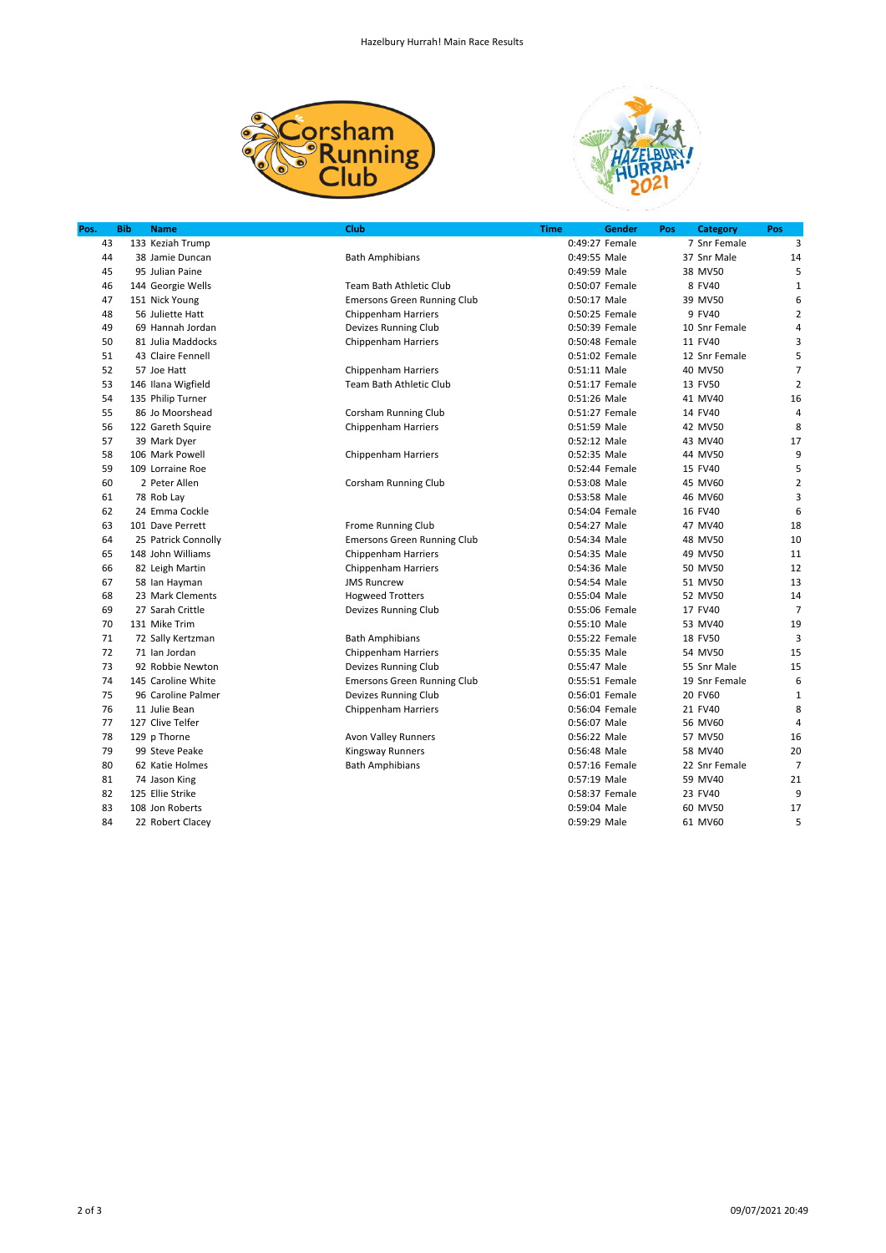



| Pos. | <b>Bib</b> | <b>Name</b>         | Club                               | <b>Time</b>  | Gender         | <b>Category</b><br>Pos | Pos            |
|------|------------|---------------------|------------------------------------|--------------|----------------|------------------------|----------------|
| 43   |            | 133 Keziah Trump    |                                    |              | 0:49:27 Female | 7 Snr Female           | 3              |
| 44   |            | 38 Jamie Duncan     | <b>Bath Amphibians</b>             | 0:49:55 Male |                | 37 Snr Male            | 14             |
| 45   |            | 95 Julian Paine     |                                    | 0:49:59 Male |                | 38 MV50                | 5              |
| 46   |            | 144 Georgie Wells   | Team Bath Athletic Club            |              | 0:50:07 Female | 8 FV40                 | $\mathbf{1}$   |
| 47   |            | 151 Nick Young      | <b>Emersons Green Running Club</b> | 0:50:17 Male |                | 39 MV50                | 6              |
| 48   |            | 56 Juliette Hatt    | <b>Chippenham Harriers</b>         |              | 0:50:25 Female | 9 FV40                 | $\overline{2}$ |
| 49   |            | 69 Hannah Jordan    | Devizes Running Club               |              | 0:50:39 Female | 10 Snr Female          | 4              |
| 50   |            | 81 Julia Maddocks   | Chippenham Harriers                |              | 0:50:48 Female | 11 FV40                | 3              |
| 51   |            | 43 Claire Fennell   |                                    |              | 0:51:02 Female | 12 Snr Female          | 5              |
| 52   |            | 57 Joe Hatt         | Chippenham Harriers                | 0:51:11 Male |                | 40 MV50                | $\overline{7}$ |
| 53   |            | 146 Ilana Wigfield  | <b>Team Bath Athletic Club</b>     |              | 0:51:17 Female | 13 FV50                | $\overline{2}$ |
| 54   |            | 135 Philip Turner   |                                    | 0:51:26 Male |                | 41 MV40                | 16             |
| 55   |            | 86 Jo Moorshead     | Corsham Running Club               |              | 0:51:27 Female | 14 FV40                | $\overline{4}$ |
| 56   |            | 122 Gareth Squire   | <b>Chippenham Harriers</b>         | 0:51:59 Male |                | 42 MV50                | 8              |
| 57   |            | 39 Mark Dyer        |                                    | 0:52:12 Male |                | 43 MV40                | 17             |
| 58   |            | 106 Mark Powell     | Chippenham Harriers                | 0:52:35 Male |                | 44 MV50                | 9              |
| 59   |            | 109 Lorraine Roe    |                                    |              | 0:52:44 Female | 15 FV40                | 5              |
| 60   |            | 2 Peter Allen       | Corsham Running Club               | 0:53:08 Male |                | 45 MV60                | $\overline{2}$ |
| 61   |            | 78 Rob Lay          |                                    | 0:53:58 Male |                | 46 MV60                | 3              |
| 62   |            | 24 Emma Cockle      |                                    |              | 0:54:04 Female | 16 FV40                | 6              |
| 63   |            | 101 Dave Perrett    | <b>Frome Running Club</b>          | 0:54:27 Male |                | 47 MV40                | 18             |
| 64   |            | 25 Patrick Connolly | <b>Emersons Green Running Club</b> | 0:54:34 Male |                | 48 MV50                | 10             |
| 65   |            | 148 John Williams   | <b>Chippenham Harriers</b>         | 0:54:35 Male |                | 49 MV50                | 11             |
| 66   |            | 82 Leigh Martin     | <b>Chippenham Harriers</b>         | 0:54:36 Male |                | 50 MV50                | 12             |
| 67   |            | 58 Ian Hayman       | <b>JMS Runcrew</b>                 | 0:54:54 Male |                | 51 MV50                | 13             |
| 68   |            | 23 Mark Clements    | <b>Hogweed Trotters</b>            | 0:55:04 Male |                | 52 MV50                | 14             |
| 69   |            | 27 Sarah Crittle    | Devizes Running Club               |              | 0:55:06 Female | 17 FV40                | $\overline{7}$ |
| 70   |            | 131 Mike Trim       |                                    | 0:55:10 Male |                | 53 MV40                | 19             |
| 71   |            | 72 Sally Kertzman   | <b>Bath Amphibians</b>             |              | 0:55:22 Female | 18 FV50                | 3              |
| 72   |            | 71 Ian Jordan       | <b>Chippenham Harriers</b>         | 0:55:35 Male |                | 54 MV50                | 15             |
| 73   |            | 92 Robbie Newton    | Devizes Running Club               | 0:55:47 Male |                | 55 Snr Male            | 15             |
| 74   |            | 145 Caroline White  | <b>Emersons Green Running Club</b> |              | 0:55:51 Female | 19 Snr Female          | 6              |
| 75   |            | 96 Caroline Palmer  | Devizes Running Club               |              | 0:56:01 Female | 20 FV60                | $\mathbf{1}$   |
| 76   |            | 11 Julie Bean       | <b>Chippenham Harriers</b>         |              | 0:56:04 Female | 21 FV40                | 8              |
| 77   |            | 127 Clive Telfer    |                                    | 0:56:07 Male |                | 56 MV60                | 4              |
| 78   |            | 129 p Thorne        | Avon Valley Runners                | 0:56:22 Male |                | 57 MV50                | 16             |
| 79   |            | 99 Steve Peake      | <b>Kingsway Runners</b>            | 0:56:48 Male |                | 58 MV40                | 20             |
| 80   |            | 62 Katie Holmes     | <b>Bath Amphibians</b>             |              | 0:57:16 Female | 22 Snr Female          | $\overline{7}$ |
| 81   |            | 74 Jason King       |                                    | 0:57:19 Male |                | 59 MV40                | 21             |
| 82   |            | 125 Ellie Strike    |                                    |              | 0:58:37 Female | 23 FV40                | 9              |
| 83   |            | 108 Jon Roberts     |                                    | 0:59:04 Male |                | 60 MV50                | 17             |
| 84   |            | 22 Robert Clacey    |                                    | 0:59:29 Male |                | 61 MV60                | 5              |
|      |            |                     |                                    |              |                |                        |                |